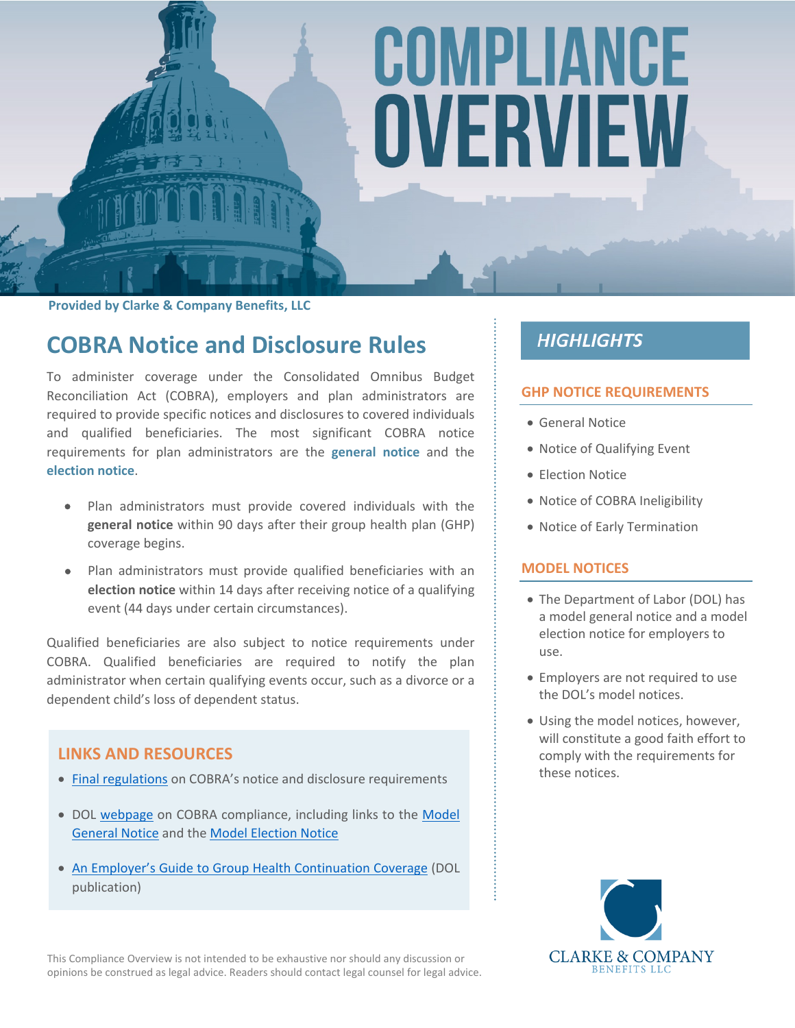# COMPLIANCE OVERVIEW

**Provided by Clarke & Company Benefits, LLC**

# **COBRA Notice and Disclosure Rules**

To administer coverage under the Consolidated Omnibus Budget Reconciliation Act (COBRA), employers and plan administrators are required to provide specific notices and disclosures to covered individuals and qualified beneficiaries. The most significant COBRA notice requirements for plan administrators are the **general notice** and the **election notice**.

- Plan administrators must provide covered individuals with the **general notice** within 90 days after their group health plan (GHP) coverage begins.
- Plan administrators must provide qualified beneficiaries with an **election notice** within 14 days after receiving notice of a qualifying event (44 days under certain circumstances).

Qualified beneficiaries are also subject to notice requirements under COBRA. Qualified beneficiaries are required to notify the plan administrator when certain qualifying events occur, such as a divorce or a dependent child's loss of dependent status.

#### **LINKS AND RESOURCES**

- [Final regulations](https://www.federalregister.gov/documents/2004/05/26/04-11796/health-care-continuation-coverage) on COBRA's notice and disclosure requirements
- DOL [webpage](https://www.dol.gov/agencies/ebsa/laws-and-regulations/laws/cobra) on COBRA compliance, including links to the [Model](https://www.dol.gov/sites/default/files/ebsa/laws-and-regulations/laws/cobra/model-general-notice.doc)  [General Notice](https://www.dol.gov/sites/default/files/ebsa/laws-and-regulations/laws/cobra/model-general-notice.doc) and the [Model Election Notice](https://www.dol.gov/sites/default/files/ebsa/laws-and-regulations/laws/cobra/model-election-notice.doc)
- [An Employer's Guide to Group Health Continuation Coverage](https://www.dol.gov/agencies/ebsa/about-ebsa/our-activities/resource-center/publications/an-employers-guide-to-group-health-continuation-coverage-under-cobra.pdf) (DOL publication)

This Compliance Overview is not intended to be exhaustive nor should any discussion or opinions be construed as legal advice. Readers should contact legal counsel for legal advice.

### **HIGHLIGHTS**

#### **GHP NOTICE REQUIREMENTS**

- General Notice
- Notice of Qualifying Event
- **Election Notice**
- Notice of COBRA Ineligibility
- Notice of Early Termination

#### **MODEL NOTICES**

- The Department of Labor (DOL) has a model general notice and a model election notice for employers to use.
- Employers are not required to use the DOL's model notices.
- Using the model notices, however, will constitute a good faith effort to comply with the requirements for these notices.

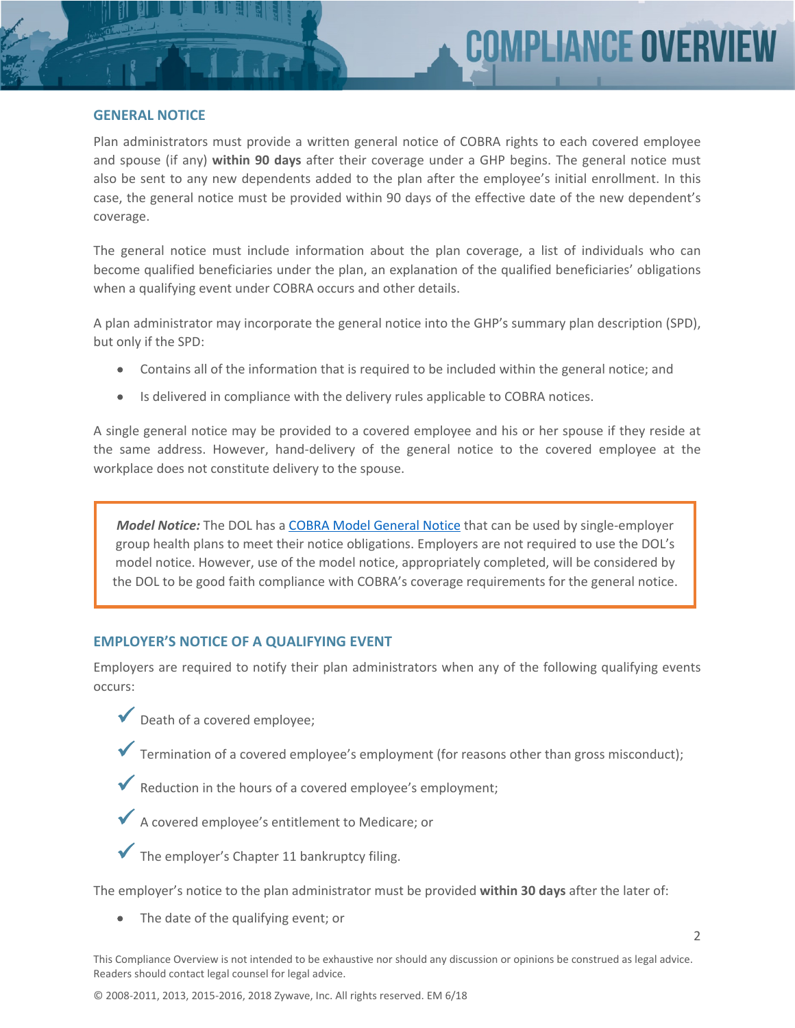#### **GENERAL NOTICE**

Plan administrators must provide a written general notice of COBRA rights to each covered employee and spouse (if any) **within 90 days** after their coverage under a GHP begins. The general notice must also be sent to any new dependents added to the plan after the employee's initial enrollment. In this case, the general notice must be provided within 90 days of the effective date of the new dependent's coverage.

The general notice must include information about the plan coverage, a list of individuals who can become qualified beneficiaries under the plan, an explanation of the qualified beneficiaries' obligations when a qualifying event under COBRA occurs and other details.

A plan administrator may incorporate the general notice into the GHP's summary plan description (SPD), but only if the SPD:

- Contains all of the information that is required to be included within the general notice; and
- Is delivered in compliance with the delivery rules applicable to COBRA notices.

A single general notice may be provided to a covered employee and his or her spouse if they reside at the same address. However, hand-delivery of the general notice to the covered employee at the workplace does not constitute delivery to the spouse.

*Model Notice:* The DOL has a [COBRA Model General Notice](https://www.dol.gov/ebsa/modelgeneralnotice.doc) that can be used by single-employer group health plans to meet their notice obligations. Employers are not required to use the DOL's model notice. However, use of the model notice, appropriately completed, will be considered by the DOL to be good faith compliance with COBRA's coverage requirements for the general notice.

#### **EMPLOYER'S NOTICE OF A QUALIFYING EVENT**

Employers are required to notify their plan administrators when any of the following qualifying events occurs:

- Death of a covered employee;
- $\blacktriangledown$  Termination of a covered employee's employment (for reasons other than gross misconduct);
- Reduction in the hours of a covered employee's employment;



The employer's Chapter 11 bankruptcy filing.

The employer's notice to the plan administrator must be provided **within 30 days** after the later of:

• The date of the qualifying event; or

This Compliance Overview is not intended to be exhaustive nor should any discussion or opinions be construed as legal advice. Readers should contact legal counsel for legal advice.

© 2008-2011, 2013, 2015-2016, 2018 Zywave, Inc. All rights reserved. EM 6/18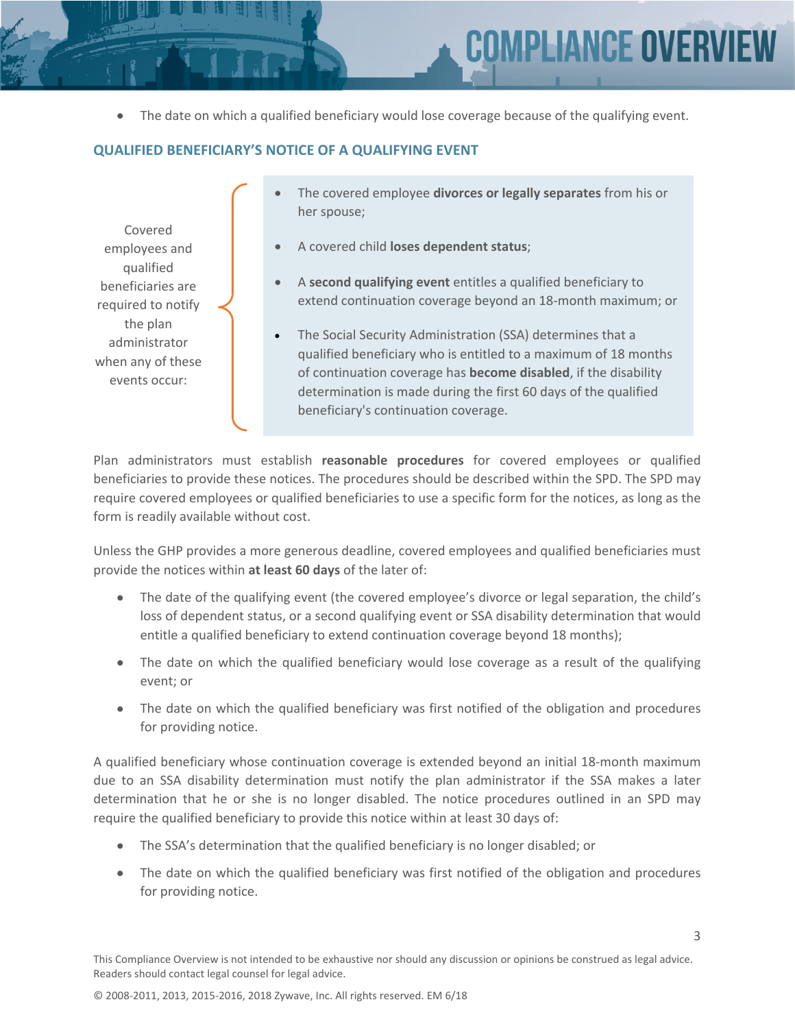3

The date on which a qualified beneficiary would lose coverage because of the qualifying event.

#### **QUALIFIED BENEFICIARY'S NOTICE OF A QUALIFYING EVENT**

Covered employees and qualified beneficiaries are required to notify the plan administrator when any of these events occur:

- The covered employee **divorces or legally separates** from his or her spouse;
- A covered child **loses dependent status**;
- A **second qualifying event** entitles a qualified beneficiary to extend continuation coverage beyond an 18-month maximum; or
- The Social Security Administration (SSA) determines that a qualified beneficiary who is entitled to a maximum of 18 months of continuation coverage has **become disabled**, if the disability determination is made during the first 60 days of the qualified beneficiary's continuation coverage.

Plan administrators must establish **reasonable procedures** for covered employees or qualified beneficiaries to provide these notices. The procedures should be described within the SPD. The SPD may require covered employees or qualified beneficiaries to use a specific form for the notices, as long as the form is readily available without cost.

Unless the GHP provides a more generous deadline, covered employees and qualified beneficiaries must provide the notices within **at least 60 days** of the later of:

- The date of the qualifying event (the covered employee's divorce or legal separation, the child's loss of dependent status, or a second qualifying event or SSA disability determination that would entitle a qualified beneficiary to extend continuation coverage beyond 18 months);
- The date on which the qualified beneficiary would lose coverage as a result of the qualifying event; or
- The date on which the qualified beneficiary was first notified of the obligation and procedures for providing notice.

A qualified beneficiary whose continuation coverage is extended beyond an initial 18-month maximum due to an SSA disability determination must notify the plan administrator if the SSA makes a later determination that he or she is no longer disabled. The notice procedures outlined in an SPD may require the qualified beneficiary to provide this notice within at least 30 days of:

- The SSA's determination that the qualified beneficiary is no longer disabled; or
- The date on which the qualified beneficiary was first notified of the obligation and procedures for providing notice.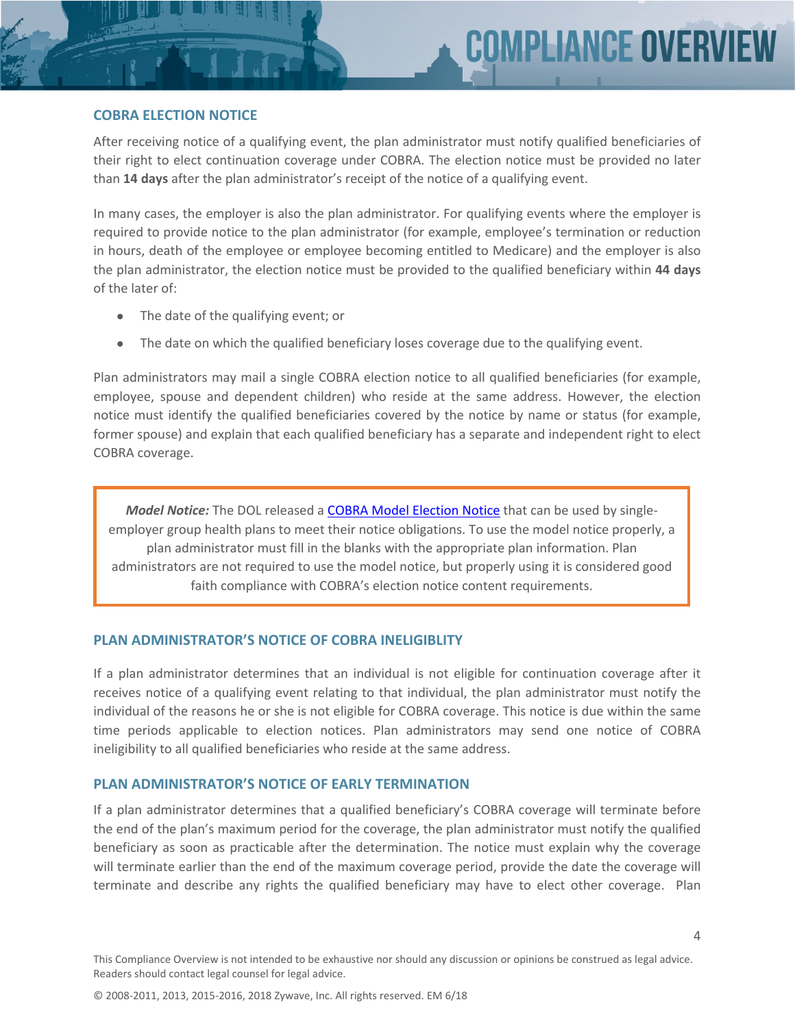$\Delta$ 

#### **COBRA ELECTION NOTICE**

After receiving notice of a qualifying event, the plan administrator must notify qualified beneficiaries of their right to elect continuation coverage under COBRA. The election notice must be provided no later than **14 days** after the plan administrator's receipt of the notice of a qualifying event.

In many cases, the employer is also the plan administrator. For qualifying events where the employer is required to provide notice to the plan administrator (for example, employee's termination or reduction in hours, death of the employee or employee becoming entitled to Medicare) and the employer is also the plan administrator, the election notice must be provided to the qualified beneficiary within **44 days** of the later of:

- The date of the qualifying event; or
- The date on which the qualified beneficiary loses coverage due to the qualifying event.

Plan administrators may mail a single COBRA election notice to all qualified beneficiaries (for example, employee, spouse and dependent children) who reside at the same address. However, the election notice must identify the qualified beneficiaries covered by the notice by name or status (for example, former spouse) and explain that each qualified beneficiary has a separate and independent right to elect COBRA coverage.

*Model Notice:* The DOL released a [COBRA Model Election Notice](http://www.dol.gov/ebsa/modelelectionnotice.doc) that can be used by singleemployer group health plans to meet their notice obligations. To use the model notice properly, a plan administrator must fill in the blanks with the appropriate plan information. Plan administrators are not required to use the model notice, but properly using it is considered good faith compliance with COBRA's election notice content requirements.

#### **PLAN ADMINISTRATOR'S NOTICE OF COBRA INELIGIBLITY**

If a plan administrator determines that an individual is not eligible for continuation coverage after it receives notice of a qualifying event relating to that individual, the plan administrator must notify the individual of the reasons he or she is not eligible for COBRA coverage. This notice is due within the same time periods applicable to election notices. Plan administrators may send one notice of COBRA ineligibility to all qualified beneficiaries who reside at the same address.

#### **PLAN ADMINISTRATOR'S NOTICE OF EARLY TERMINATION**

If a plan administrator determines that a qualified beneficiary's COBRA coverage will terminate before the end of the plan's maximum period for the coverage, the plan administrator must notify the qualified beneficiary as soon as practicable after the determination. The notice must explain why the coverage will terminate earlier than the end of the maximum coverage period, provide the date the coverage will terminate and describe any rights the qualified beneficiary may have to elect other coverage. Plan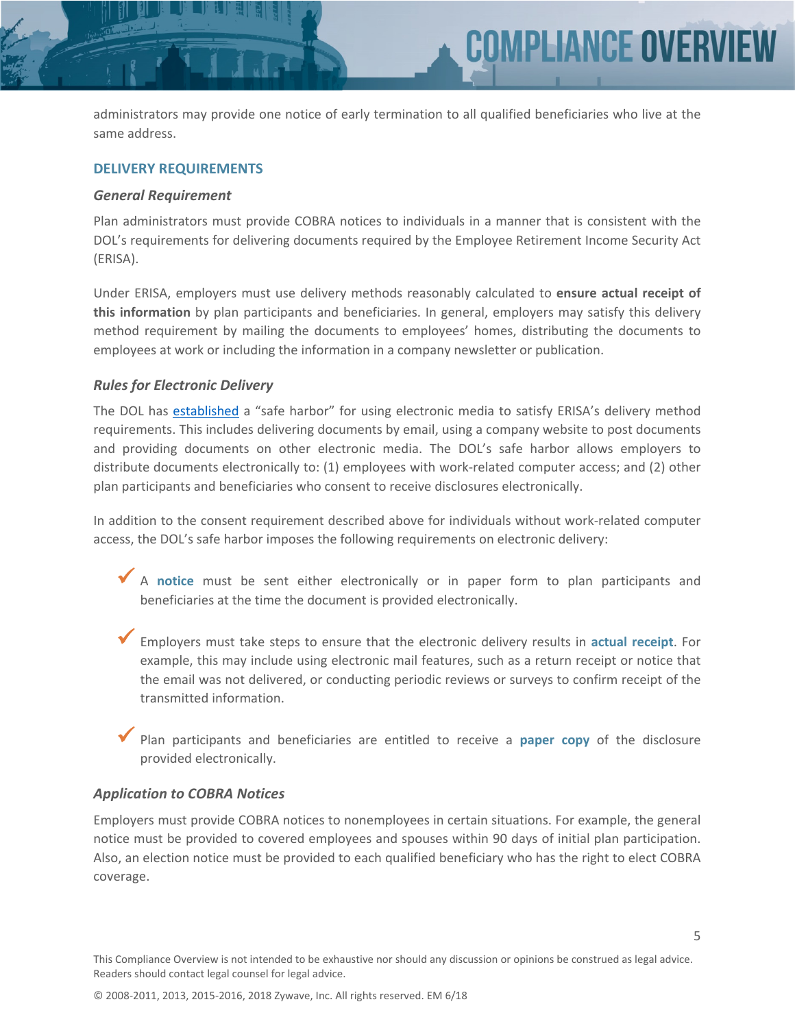administrators may provide one notice of early termination to all qualified beneficiaries who live at the same address.

**COMPLIANCE OVERV** 

#### **DELIVERY REQUIREMENTS**

#### *General Requirement*

Plan administrators must provide COBRA notices to individuals in a manner that is consistent with the DOL's requirements for delivering documents required by the Employee Retirement Income Security Act (ERISA).

Under ERISA, employers must use delivery methods reasonably calculated to **ensure actual receipt of this information** by plan participants and beneficiaries. In general, employers may satisfy this delivery method requirement by mailing the documents to employees' homes, distributing the documents to employees at work or including the information in a company newsletter or publication.

#### *Rules for Electronic Delivery*

The DOL has [established](https://www.federalregister.gov/documents/2002/04/09/02-8499/final-rules-relating-to-use-of-electronic-communication-and-recordkeeping-technologies-by-employee) a "safe harbor" for using electronic media to satisfy ERISA's delivery method requirements. This includes delivering documents by email, using a company website to post documents and providing documents on other electronic media. The DOL's safe harbor allows employers to distribute documents electronically to: (1) employees with work-related computer access; and (2) other plan participants and beneficiaries who consent to receive disclosures electronically.

In addition to the consent requirement described above for individuals without work-related computer access, the DOL's safe harbor imposes the following requirements on electronic delivery:

- <sup>A</sup>**notice** must be sent either electronically or in paper form to plan participants and beneficiaries at the time the document is provided electronically.
- Employers must take steps to ensure that the electronic delivery results in **actual receipt**. For example, this may include using electronic mail features, such as a return receipt or notice that the email was not delivered, or conducting periodic reviews or surveys to confirm receipt of the transmitted information.

 Plan participants and beneficiaries are entitled to receive a **paper copy** of the disclosure provided electronically.

#### *Application to COBRA Notices*

Employers must provide COBRA notices to nonemployees in certain situations. For example, the general notice must be provided to covered employees and spouses within 90 days of initial plan participation. Also, an election notice must be provided to each qualified beneficiary who has the right to elect COBRA coverage.

5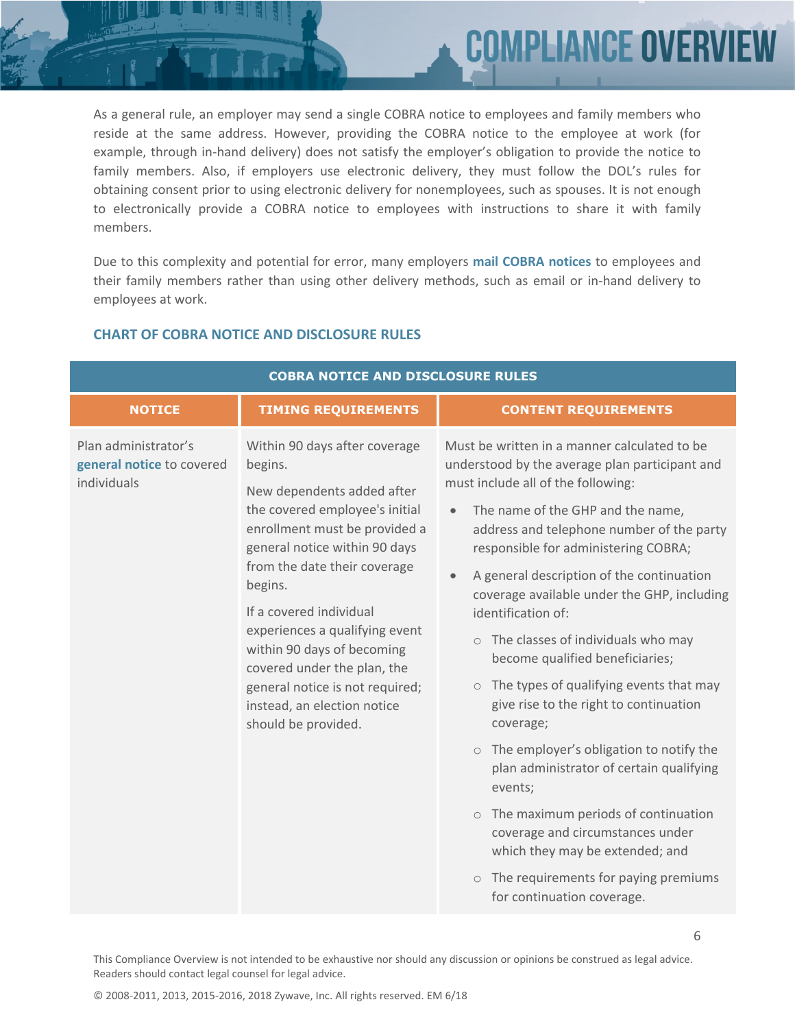As a general rule, an employer may send a single COBRA notice to employees and family members who reside at the same address. However, providing the COBRA notice to the employee at work (for example, through in-hand delivery) does not satisfy the employer's obligation to provide the notice to family members. Also, if employers use electronic delivery, they must follow the DOL's rules for obtaining consent prior to using electronic delivery for nonemployees, such as spouses. It is not enough to electronically provide a COBRA notice to employees with instructions to share it with family members.

**PLIANCE OVERY** 

Due to this complexity and potential for error, many employers **mail COBRA notices** to employees and their family members rather than using other delivery methods, such as email or in-hand delivery to employees at work.

| <b>COBRA NOTICE AND DISCLOSURE RULES</b>                         |                                                                                                                                                                                                                                                                                                                                                                                                                                          |                                                                                                                                                                                                                                                                                                                                                                                                                                                                                                                                                                                                                                                                                                                                                                                                                                                                                                 |  |
|------------------------------------------------------------------|------------------------------------------------------------------------------------------------------------------------------------------------------------------------------------------------------------------------------------------------------------------------------------------------------------------------------------------------------------------------------------------------------------------------------------------|-------------------------------------------------------------------------------------------------------------------------------------------------------------------------------------------------------------------------------------------------------------------------------------------------------------------------------------------------------------------------------------------------------------------------------------------------------------------------------------------------------------------------------------------------------------------------------------------------------------------------------------------------------------------------------------------------------------------------------------------------------------------------------------------------------------------------------------------------------------------------------------------------|--|
| <b>NOTICE</b>                                                    | <b>TIMING REQUIREMENTS</b>                                                                                                                                                                                                                                                                                                                                                                                                               | <b>CONTENT REQUIREMENTS</b>                                                                                                                                                                                                                                                                                                                                                                                                                                                                                                                                                                                                                                                                                                                                                                                                                                                                     |  |
| Plan administrator's<br>general notice to covered<br>individuals | Within 90 days after coverage<br>begins.<br>New dependents added after<br>the covered employee's initial<br>enrollment must be provided a<br>general notice within 90 days<br>from the date their coverage<br>begins.<br>If a covered individual<br>experiences a qualifying event<br>within 90 days of becoming<br>covered under the plan, the<br>general notice is not required;<br>instead, an election notice<br>should be provided. | Must be written in a manner calculated to be<br>understood by the average plan participant and<br>must include all of the following:<br>The name of the GHP and the name,<br>address and telephone number of the party<br>responsible for administering COBRA;<br>A general description of the continuation<br>coverage available under the GHP, including<br>identification of:<br>The classes of individuals who may<br>$\circ$<br>become qualified beneficiaries;<br>The types of qualifying events that may<br>$\circ$<br>give rise to the right to continuation<br>coverage;<br>o The employer's obligation to notify the<br>plan administrator of certain qualifying<br>events;<br>The maximum periods of continuation<br>$\circ$<br>coverage and circumstances under<br>which they may be extended; and<br>The requirements for paying premiums<br>$\circ$<br>for continuation coverage. |  |

#### **CHART OF COBRA NOTICE AND DISCLOSURE RULES**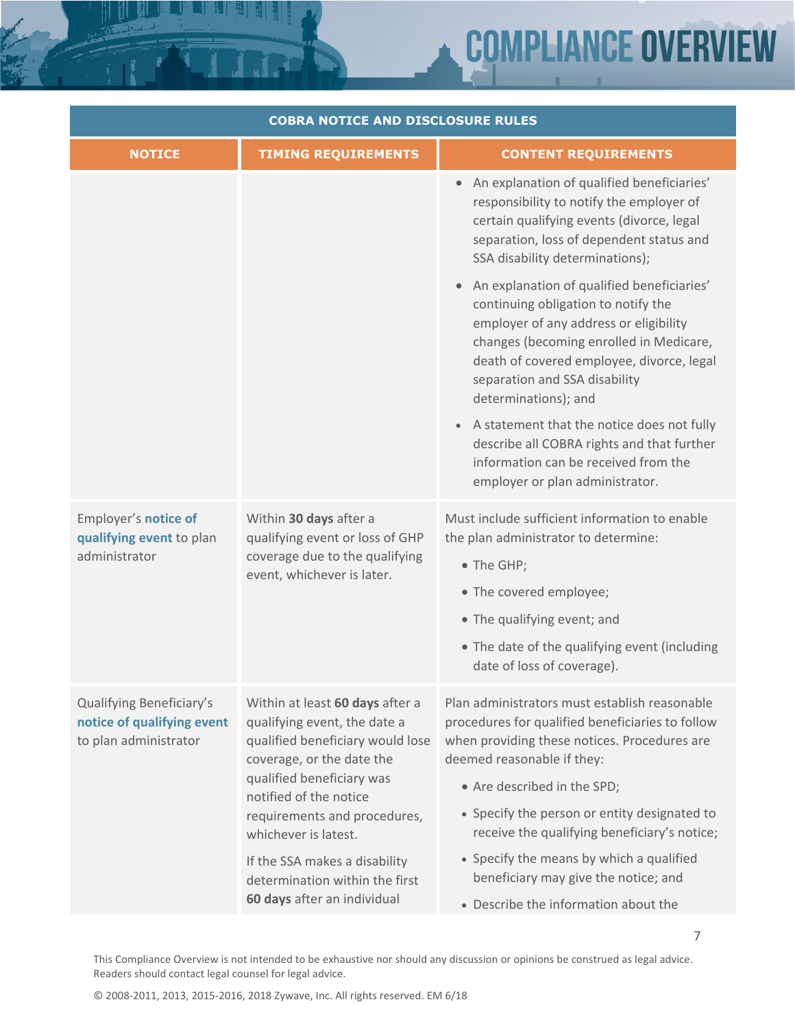# **COMPLIANCE OVERV IEW**

7

| <b>COBRA NOTICE AND DISCLOSURE RULES</b>                                        |                                                                                                                                                                                                                                                 |                                                                                                                                                                                                                                                                                                                |  |
|---------------------------------------------------------------------------------|-------------------------------------------------------------------------------------------------------------------------------------------------------------------------------------------------------------------------------------------------|----------------------------------------------------------------------------------------------------------------------------------------------------------------------------------------------------------------------------------------------------------------------------------------------------------------|--|
| <b>NOTICE</b>                                                                   | <b>TIMING REQUIREMENTS</b>                                                                                                                                                                                                                      | <b>CONTENT REQUIREMENTS</b>                                                                                                                                                                                                                                                                                    |  |
|                                                                                 |                                                                                                                                                                                                                                                 | An explanation of qualified beneficiaries'<br>responsibility to notify the employer of<br>certain qualifying events (divorce, legal<br>separation, loss of dependent status and<br>SSA disability determinations);                                                                                             |  |
|                                                                                 |                                                                                                                                                                                                                                                 | An explanation of qualified beneficiaries'<br>continuing obligation to notify the<br>employer of any address or eligibility<br>changes (becoming enrolled in Medicare,<br>death of covered employee, divorce, legal<br>separation and SSA disability<br>determinations); and                                   |  |
|                                                                                 |                                                                                                                                                                                                                                                 | A statement that the notice does not fully<br>describe all COBRA rights and that further<br>information can be received from the<br>employer or plan administrator.                                                                                                                                            |  |
| Employer's notice of<br>qualifying event to plan<br>administrator               | Within 30 days after a<br>qualifying event or loss of GHP<br>coverage due to the qualifying<br>event, whichever is later.                                                                                                                       | Must include sufficient information to enable<br>the plan administrator to determine:<br>• The GHP;                                                                                                                                                                                                            |  |
|                                                                                 |                                                                                                                                                                                                                                                 | • The covered employee;                                                                                                                                                                                                                                                                                        |  |
|                                                                                 |                                                                                                                                                                                                                                                 | • The qualifying event; and<br>• The date of the qualifying event (including<br>date of loss of coverage).                                                                                                                                                                                                     |  |
| Qualifying Beneficiary's<br>notice of qualifying event<br>to plan administrator | Within at least 60 days after a<br>qualifying event, the date a<br>qualified beneficiary would lose<br>coverage, or the date the<br>qualified beneficiary was<br>notified of the notice<br>requirements and procedures,<br>whichever is latest. | Plan administrators must establish reasonable<br>procedures for qualified beneficiaries to follow<br>when providing these notices. Procedures are<br>deemed reasonable if they:<br>• Are described in the SPD;<br>• Specify the person or entity designated to<br>receive the qualifying beneficiary's notice; |  |
|                                                                                 | If the SSA makes a disability<br>determination within the first<br>60 days after an individual                                                                                                                                                  | • Specify the means by which a qualified<br>beneficiary may give the notice; and<br>• Describe the information about the                                                                                                                                                                                       |  |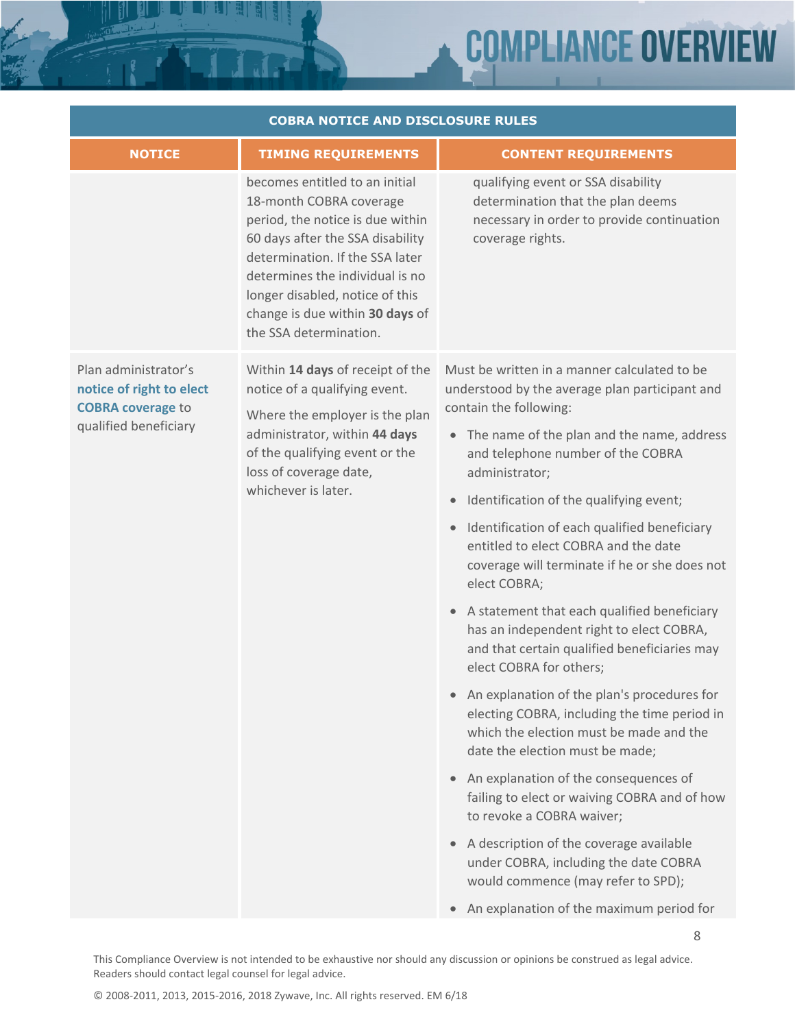# **COMPLIANCE OVERV** EW

8

| <b>COBRA NOTICE AND DISCLOSURE RULES</b>                                                              |                                                                                                                                                                                                                                                                                                         |                                                                                                                                                                             |  |  |
|-------------------------------------------------------------------------------------------------------|---------------------------------------------------------------------------------------------------------------------------------------------------------------------------------------------------------------------------------------------------------------------------------------------------------|-----------------------------------------------------------------------------------------------------------------------------------------------------------------------------|--|--|
| <b>NOTICE</b>                                                                                         | <b>TIMING REQUIREMENTS</b>                                                                                                                                                                                                                                                                              | <b>CONTENT REQUIREMENTS</b>                                                                                                                                                 |  |  |
|                                                                                                       | becomes entitled to an initial<br>18-month COBRA coverage<br>period, the notice is due within<br>60 days after the SSA disability<br>determination. If the SSA later<br>determines the individual is no<br>longer disabled, notice of this<br>change is due within 30 days of<br>the SSA determination. | qualifying event or SSA disability<br>determination that the plan deems<br>necessary in order to provide continuation<br>coverage rights.                                   |  |  |
| Plan administrator's<br>notice of right to elect<br><b>COBRA coverage to</b><br>qualified beneficiary | Within 14 days of receipt of the<br>notice of a qualifying event.<br>Where the employer is the plan                                                                                                                                                                                                     | Must be written in a manner calculated to be<br>understood by the average plan participant and<br>contain the following:                                                    |  |  |
|                                                                                                       | administrator, within 44 days<br>of the qualifying event or the<br>loss of coverage date,<br>whichever is later.                                                                                                                                                                                        | • The name of the plan and the name, address<br>and telephone number of the COBRA<br>administrator;                                                                         |  |  |
|                                                                                                       |                                                                                                                                                                                                                                                                                                         | Identification of the qualifying event;<br>$\bullet$                                                                                                                        |  |  |
|                                                                                                       |                                                                                                                                                                                                                                                                                                         | • Identification of each qualified beneficiary<br>entitled to elect COBRA and the date<br>coverage will terminate if he or she does not<br>elect COBRA;                     |  |  |
|                                                                                                       |                                                                                                                                                                                                                                                                                                         | • A statement that each qualified beneficiary<br>has an independent right to elect COBRA,<br>and that certain qualified beneficiaries may<br>elect COBRA for others;        |  |  |
|                                                                                                       |                                                                                                                                                                                                                                                                                                         | • An explanation of the plan's procedures for<br>electing COBRA, including the time period in<br>which the election must be made and the<br>date the election must be made; |  |  |
|                                                                                                       |                                                                                                                                                                                                                                                                                                         | • An explanation of the consequences of<br>failing to elect or waiving COBRA and of how<br>to revoke a COBRA waiver;                                                        |  |  |
|                                                                                                       |                                                                                                                                                                                                                                                                                                         | A description of the coverage available<br>under COBRA, including the date COBRA<br>would commence (may refer to SPD);                                                      |  |  |
|                                                                                                       |                                                                                                                                                                                                                                                                                                         | An explanation of the maximum period for<br>$\bullet$                                                                                                                       |  |  |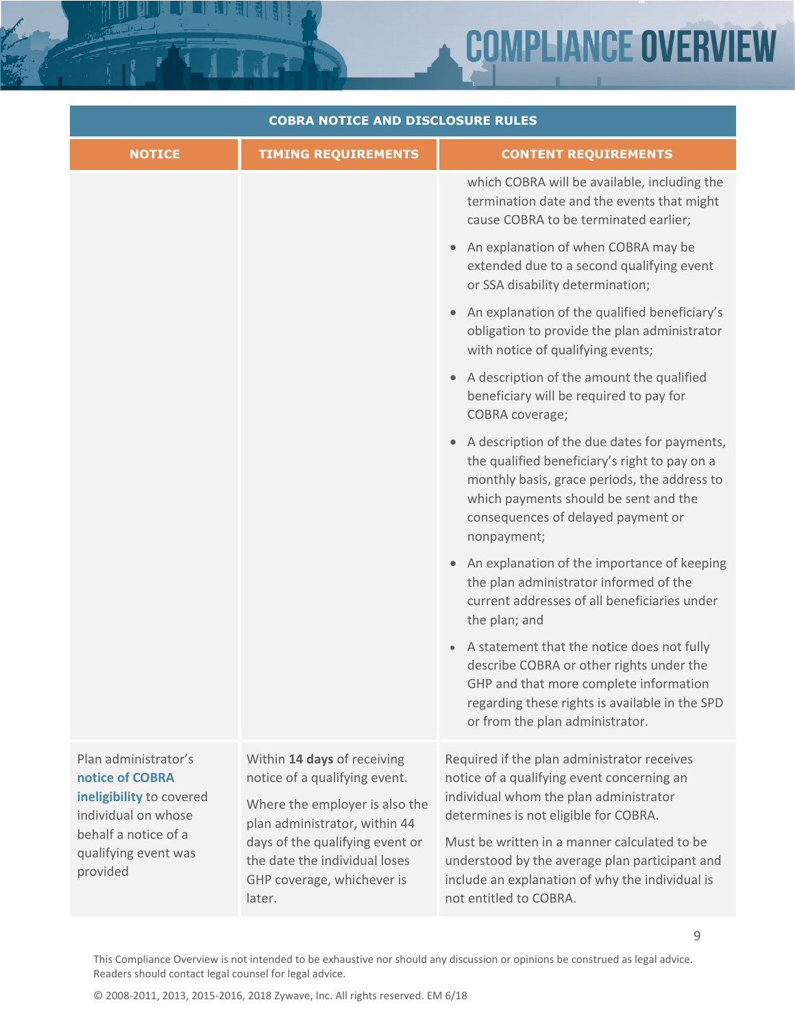# **COMPLIANCE OVERVIEW**

| <b>COBRA NOTICE AND DISCLOSURE RULES</b>                                                                                                               |                                                                                                                                                                                                                                             |                                                                                                                                                                                                                                             |  |  |
|--------------------------------------------------------------------------------------------------------------------------------------------------------|---------------------------------------------------------------------------------------------------------------------------------------------------------------------------------------------------------------------------------------------|---------------------------------------------------------------------------------------------------------------------------------------------------------------------------------------------------------------------------------------------|--|--|
| <b>NOTICE</b>                                                                                                                                          | <b>TIMING REQUIREMENTS</b>                                                                                                                                                                                                                  | <b>CONTENT REQUIREMENTS</b>                                                                                                                                                                                                                 |  |  |
|                                                                                                                                                        |                                                                                                                                                                                                                                             | which COBRA will be available, including the<br>termination date and the events that might<br>cause COBRA to be terminated earlier;                                                                                                         |  |  |
|                                                                                                                                                        |                                                                                                                                                                                                                                             | An explanation of when COBRA may be<br>extended due to a second qualifying event<br>or SSA disability determination;                                                                                                                        |  |  |
|                                                                                                                                                        |                                                                                                                                                                                                                                             | An explanation of the qualified beneficiary's<br>obligation to provide the plan administrator<br>with notice of qualifying events;                                                                                                          |  |  |
|                                                                                                                                                        |                                                                                                                                                                                                                                             | • A description of the amount the qualified<br>beneficiary will be required to pay for<br>COBRA coverage;                                                                                                                                   |  |  |
|                                                                                                                                                        |                                                                                                                                                                                                                                             | A description of the due dates for payments,<br>the qualified beneficiary's right to pay on a<br>monthly basis, grace periods, the address to<br>which payments should be sent and the<br>consequences of delayed payment or<br>nonpayment; |  |  |
|                                                                                                                                                        |                                                                                                                                                                                                                                             | • An explanation of the importance of keeping<br>the plan administrator informed of the<br>current addresses of all beneficiaries under<br>the plan; and                                                                                    |  |  |
|                                                                                                                                                        |                                                                                                                                                                                                                                             | A statement that the notice does not fully<br>describe COBRA or other rights under the<br>GHP and that more complete information<br>regarding these rights is available in the SPD<br>or from the plan administrator.                       |  |  |
| Plan administrator's<br>notice of COBRA<br>ineligibility to covered<br>individual on whose<br>behalf a notice of a<br>qualifying event was<br>provided | Within 14 days of receiving<br>notice of a qualifying event.<br>Where the employer is also the<br>plan administrator, within 44<br>days of the qualifying event or<br>the date the individual loses<br>GHP coverage, whichever is<br>later. | Required if the plan administrator receives<br>notice of a qualifying event concerning an<br>individual whom the plan administrator<br>determines is not eligible for COBRA.                                                                |  |  |
|                                                                                                                                                        |                                                                                                                                                                                                                                             | Must be written in a manner calculated to be<br>understood by the average plan participant and<br>include an explanation of why the individual is<br>not entitled to COBRA.                                                                 |  |  |